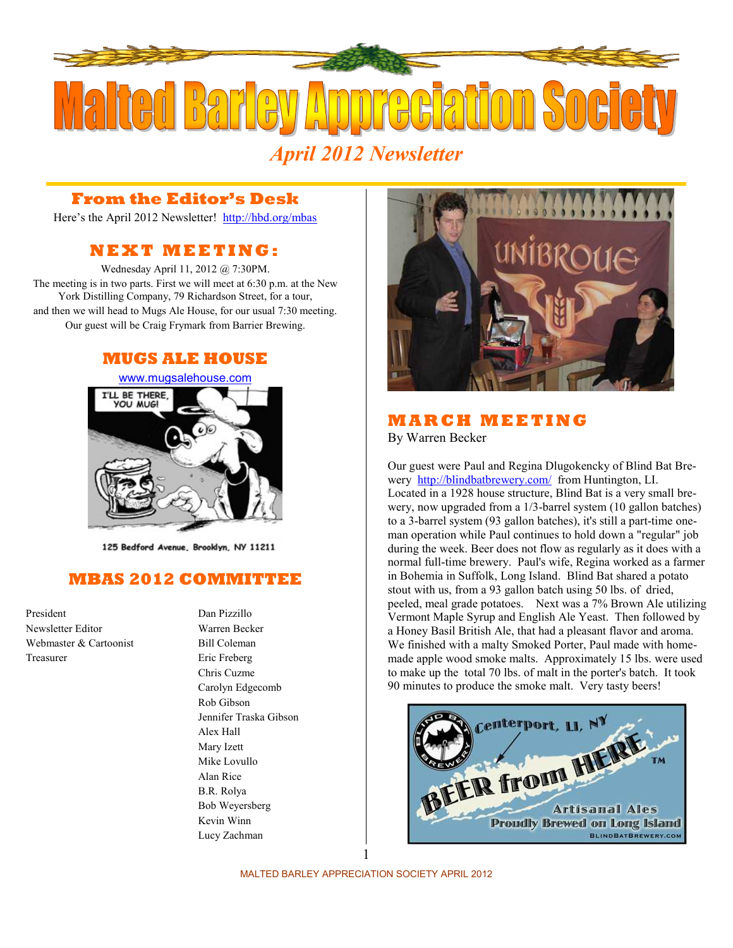

#### **From the Editor's Desk**

Here's the April 2012 Newsletter! <http://hbd.org/mbas>

### **N E X T M E E T I N G :**

Wednesday April 11, 2012 @ 7:30PM. The meeting is in two parts. First we will meet at 6:30 p.m. at the New York Distilling Company, 79 Richardson Street, for a tour, and then we will head to Mugs Ale House, for our usual 7:30 meeting. Our guest will be Craig Frymark from Barrier Brewing.

#### **MUGS ALE HOUSE**



125 Bedford Avenue, Brooklyn, NY 11211

#### **MBAS 2012 COMMITTEE**

President Dan Pizzillo Newsletter Editor Warren Becker Webmaster & Cartoonist Bill Coleman Treasurer Eric Freberg

Chris Cuzme Carolyn Edgecomb Rob Gibson Jennifer Traska Gibson Alex Hall Mary Izett Mike Lovullo Alan Rice B.R. Rolya Bob Weyersberg Kevin Winn Lucy Zachman



#### **M A R C H M E E T I N G**  By Warren Becker

Our guest were Paul and Regina Dlugokencky of Blind Bat Brewery <http://blindbatbrewery.com/>from Huntington, LI. Located in a 1928 house structure, Blind Bat is a very small brewery, now upgraded from a 1/3-barrel system (10 gallon batches) to a 3-barrel system (93 gallon batches), it's still a part-time oneman operation while Paul continues to hold down a "regular" job during the week. Beer does not flow as regularly as it does with a normal full-time brewery. Paul's wife, Regina worked as a farmer in Bohemia in Suffolk, Long Island. Blind Bat shared a potato stout with us, from a 93 gallon batch using 50 lbs. of dried, peeled, meal grade potatoes. Next was a 7% Brown Ale utilizing Vermont Maple Syrup and English Ale Yeast. Then followed by a Honey Basil British Ale, that had a pleasant flavor and aroma. We finished with a malty Smoked Porter, Paul made with homemade apple wood smoke malts. Approximately 15 lbs. were used to make up the total 70 lbs. of malt in the porter's batch. It took 90 minutes to produce the smoke malt. Very tasty beers!